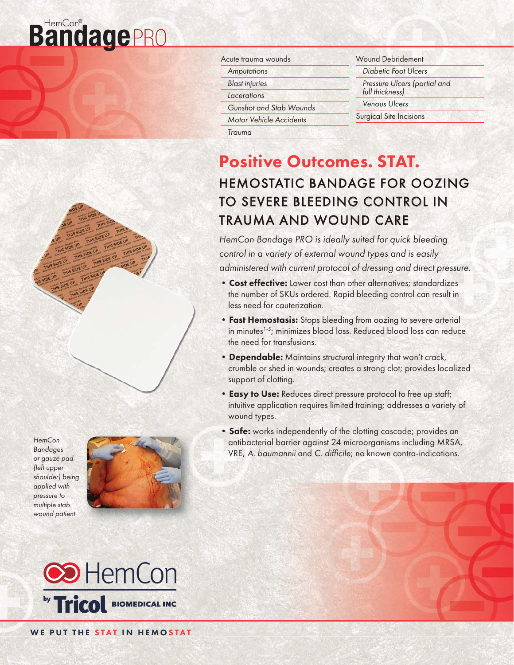# **BandagePRO**





| Acute trauma wounds            |
|--------------------------------|
| Amputations                    |
| <b>Blast injuries</b>          |
| Lacerations                    |
| Gunshot and Stab Wounds        |
| <b>Motor Vehicle Accidents</b> |
|                                |

Trauma

- Wound Debridement Diabetic Foot Ulcers
- Pressure Ulcers (partial and full thickness)
- Venous Ulcers
- Surgical Site Incisions

# Positive Outcomes. STAT. **HEMOSTATIC BANDAGE FOR OOZING** TO SEVERE BLEEDING CONTROL IN TRAUMA AND WOUND CARE

HemCon Bandage PRO is ideally suited for quick bleeding control in a variety of external wound types and is easily administered with current protocol of dressing and direct pressure.

- Cost effective: Lower cost than other alternatives; standardizes the number of SKUs ordered. Rapid bleeding control can result in less need for cauterization.
- Fast Hemostasis: Stops bleeding from oozing to severe arterial in minutes<sup>1-5</sup>; minimizes blood loss. Reduced blood loss can reduce the need for transfusions.
- Dependable: Maintains structural integrity that won't crack, crumble or shed in wounds; creates a strong clot; provides localized support of clotting.
- **Easy to Use:** Reduces direct pressure protocol to free up staff; intuitive application requires limited training; addresses a variety of wound types.
- Safe: works independently of the clotting cascade; provides an antibacterial barrier against 24 microorganisms including MRSA, VRE, A. baumannii and C. difficile; no known contra-indications.